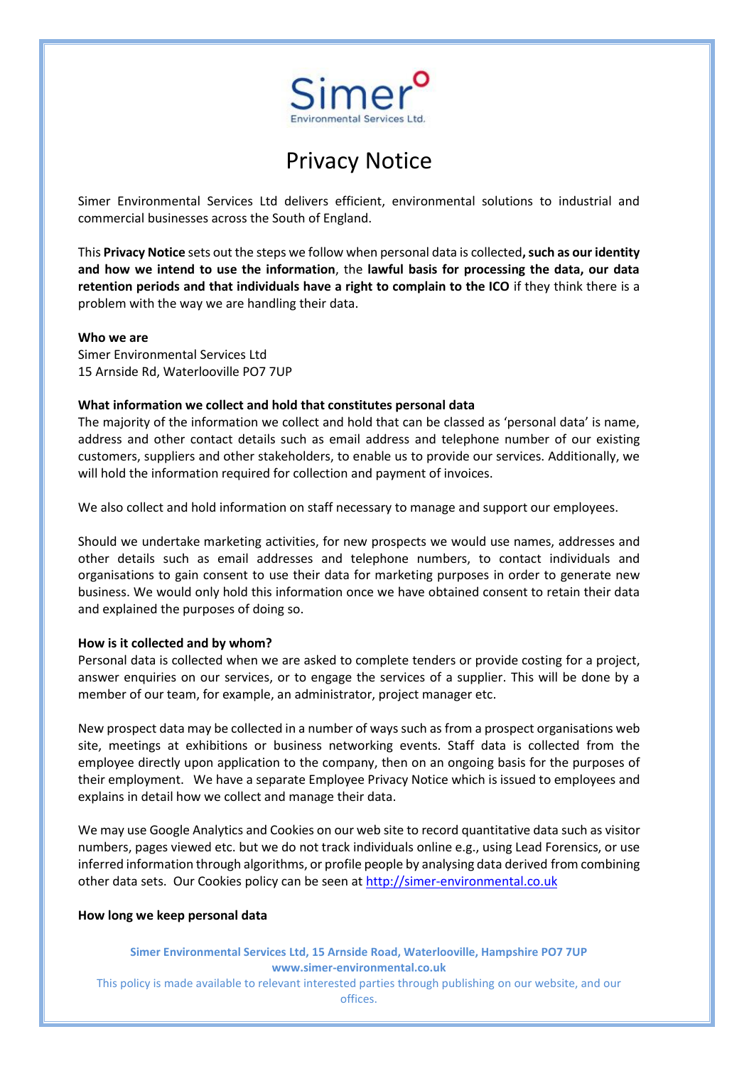

# Privacy Notice

Simer Environmental Services Ltd delivers efficient, environmental solutions to industrial and commercial businesses across the South of England.

This **Privacy Notice** sets out the steps we follow when personal data is collected**, such as our identity and how we intend to use the information**, the **lawful basis for processing the data, our data retention periods and that individuals have a right to complain to the ICO** if they think there is a problem with the way we are handling their data.

#### **Who we are**

Simer Environmental Services Ltd 15 Arnside Rd, Waterlooville PO7 7UP

#### **What information we collect and hold that constitutes personal data**

The majority of the information we collect and hold that can be classed as 'personal data' is name, address and other contact details such as email address and telephone number of our existing customers, suppliers and other stakeholders, to enable us to provide our services. Additionally, we will hold the information required for collection and payment of invoices.

We also collect and hold information on staff necessary to manage and support our employees.

Should we undertake marketing activities, for new prospects we would use names, addresses and other details such as email addresses and telephone numbers, to contact individuals and organisations to gain consent to use their data for marketing purposes in order to generate new business. We would only hold this information once we have obtained consent to retain their data and explained the purposes of doing so.

#### **How is it collected and by whom?**

Personal data is collected when we are asked to complete tenders or provide costing for a project, answer enquiries on our services, or to engage the services of a supplier. This will be done by a member of our team, for example, an administrator, project manager etc.

New prospect data may be collected in a number of ways such as from a prospect organisations web site, meetings at exhibitions or business networking events. Staff data is collected from the employee directly upon application to the company, then on an ongoing basis for the purposes of their employment. We have a separate Employee Privacy Notice which is issued to employees and explains in detail how we collect and manage their data.

We may use Google Analytics and Cookies on our web site to record quantitative data such as visitor numbers, pages viewed etc. but we do not track individuals online e.g., using Lead Forensics, or use inferred information through algorithms, or profile people by analysing data derived from combining other data sets. Our Cookies policy can be seen at [http://simer-environmental.co.uk](http://simer-environmental.co.uk/)

#### **How long we keep personal data**

**Simer Environmental Services Ltd, 15 Arnside Road, Waterlooville, Hampshire PO7 7UP www.simer-environmental.co.uk** This policy is made available to relevant interested parties through publishing on our website, and our offices.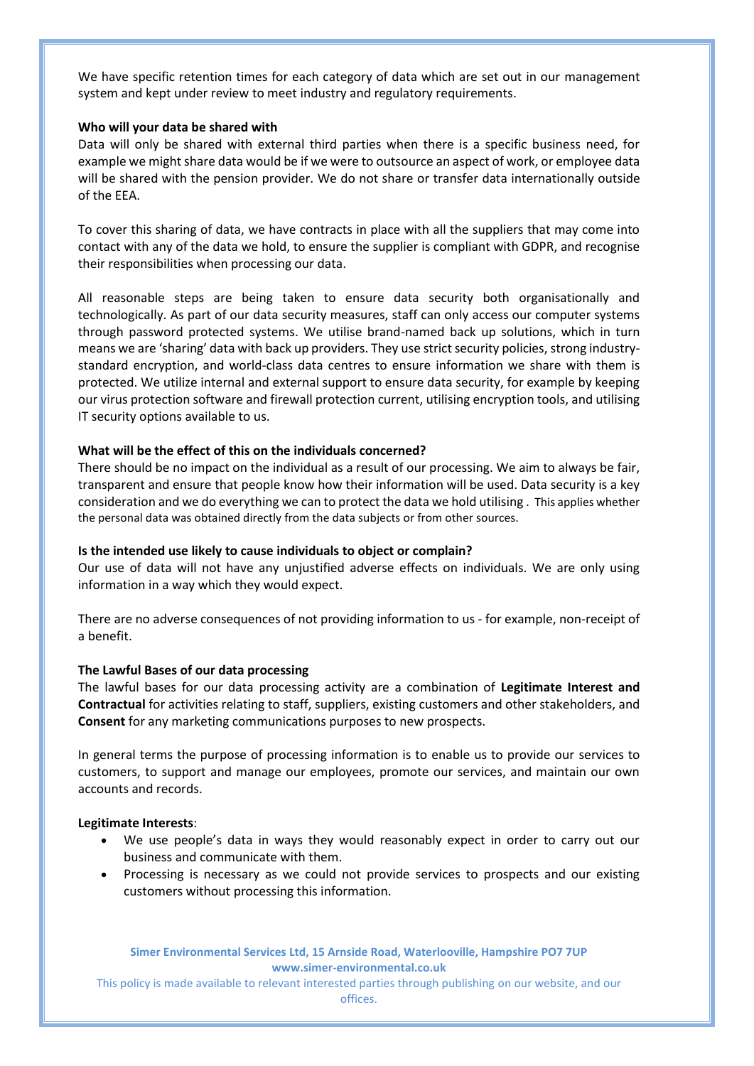We have specific retention times for each category of data which are set out in our management system and kept under review to meet industry and regulatory requirements.

### **Who will your data be shared with**

Data will only be shared with external third parties when there is a specific business need, for example we might share data would be if we were to outsource an aspect of work, or employee data will be shared with the pension provider. We do not share or transfer data internationally outside of the EEA.

To cover this sharing of data, we have contracts in place with all the suppliers that may come into contact with any of the data we hold, to ensure the supplier is compliant with GDPR, and recognise their responsibilities when processing our data.

All reasonable steps are being taken to ensure data security both organisationally and technologically. As part of our data security measures, staff can only access our computer systems through password protected systems. We utilise brand-named back up solutions, which in turn means we are 'sharing' data with back up providers. They use strict security policies, strong industrystandard encryption, and world-class data centres to ensure information we share with them is protected. We utilize internal and external support to ensure data security, for example by keeping our virus protection software and firewall protection current, utilising encryption tools, and utilising IT security options available to us.

# **What will be the effect of this on the individuals concerned?**

There should be no impact on the individual as a result of our processing. We aim to always be fair, transparent and ensure that people know how their information will be used. Data security is a key consideration and we do everything we can to protect the data we hold utilising . This applies whether the personal data was obtained directly from the data subjects or from other sources.

# **Is the intended use likely to cause individuals to object or complain?**

Our use of data will not have any unjustified adverse effects on individuals. We are only using information in a way which they would expect.

There are no adverse consequences of not providing information to us - for example, non-receipt of a benefit.

#### **The Lawful Bases of our data processing**

The lawful bases for our data processing activity are a combination of **Legitimate Interest and Contractual** for activities relating to staff, suppliers, existing customers and other stakeholders, and **Consent** for any marketing communications purposes to new prospects.

In general terms the purpose of processing information is to enable us to provide our services to customers, to support and manage our employees, promote our services, and maintain our own accounts and records.

#### **Legitimate Interests**:

- We use people's data in ways they would reasonably expect in order to carry out our business and communicate with them.
- Processing is necessary as we could not provide services to prospects and our existing customers without processing this information.

**Simer Environmental Services Ltd, 15 Arnside Road, Waterlooville, Hampshire PO7 7UP www.simer-environmental.co.uk**

This policy is made available to relevant interested parties through publishing on our website, and our offices.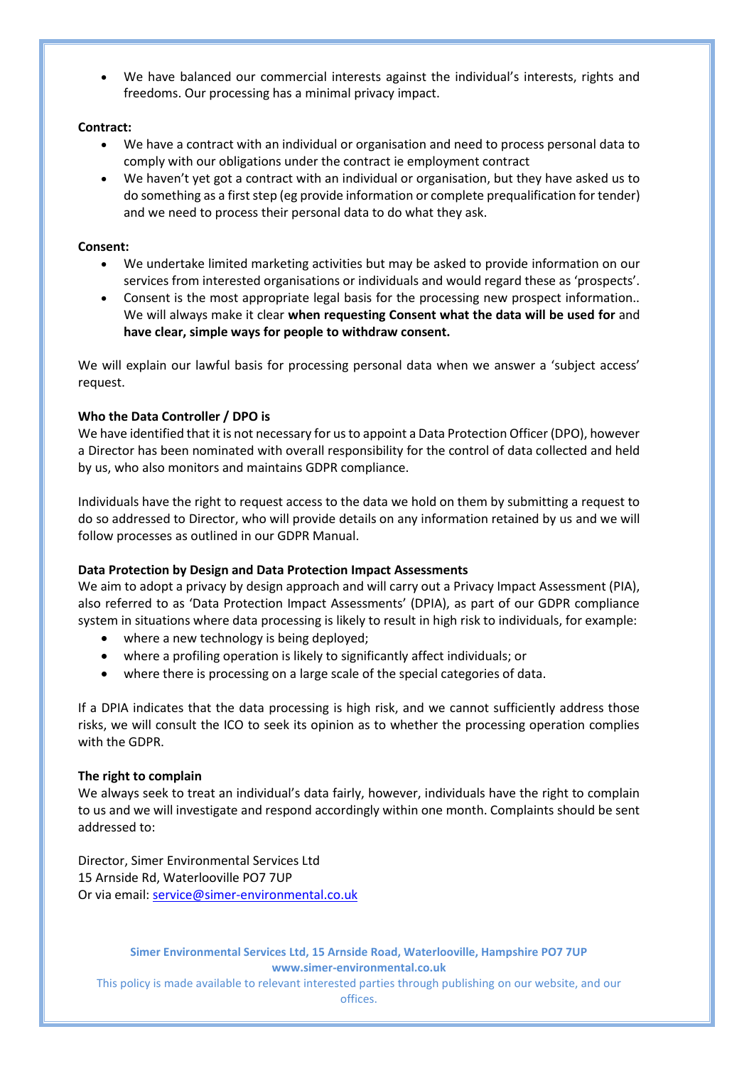• We have balanced our commercial interests against the individual's interests, rights and freedoms. Our processing has a minimal privacy impact.

# **Contract:**

- We have a contract with an individual or organisation and need to process personal data to comply with our obligations under the contract ie employment contract
- We haven't yet got a contract with an individual or organisation, but they have asked us to do something as a first step (eg provide information or complete prequalification for tender) and we need to process their personal data to do what they ask.

# **Consent:**

- We undertake limited marketing activities but may be asked to provide information on our services from interested organisations or individuals and would regard these as 'prospects'.
- Consent is the most appropriate legal basis for the processing new prospect information.. We will always make it clear **when requesting Consent what the data will be used for** and **have clear, simple ways for people to withdraw consent.**

We will explain our lawful basis for processing personal data when we answer a 'subject access' request.

# **Who the Data Controller / DPO is**

We have identified that it is not necessary for us to appoint a Data Protection Officer (DPO), however a Director has been nominated with overall responsibility for the control of data collected and held by us, who also monitors and maintains GDPR compliance.

Individuals have the right to request access to the data we hold on them by submitting a request to do so addressed to Director, who will provide details on any information retained by us and we will follow processes as outlined in our GDPR Manual.

# **Data Protection by Design and Data Protection Impact Assessments**

We aim to adopt a privacy by design approach and will carry out a Privacy Impact Assessment (PIA), also referred to as 'Data Protection Impact Assessments' (DPIA), as part of our GDPR compliance system in situations where data processing is likely to result in high risk to individuals, for example:

- where a new technology is being deployed;
- where a profiling operation is likely to significantly affect individuals; or
- where there is processing on a large scale of the special categories of data.

If a DPIA indicates that the data processing is high risk, and we cannot sufficiently address those risks, we will consult the ICO to seek its opinion as to whether the processing operation complies with the GDPR.

# **The right to complain**

We always seek to treat an individual's data fairly, however, individuals have the right to complain to us and we will investigate and respond accordingly within one month. Complaints should be sent addressed to:

Director, Simer Environmental Services Ltd 15 Arnside Rd, Waterlooville PO7 7UP Or via email[: service@simer-environmental.co.uk](mailto:service@simer-environmental.co.uk)